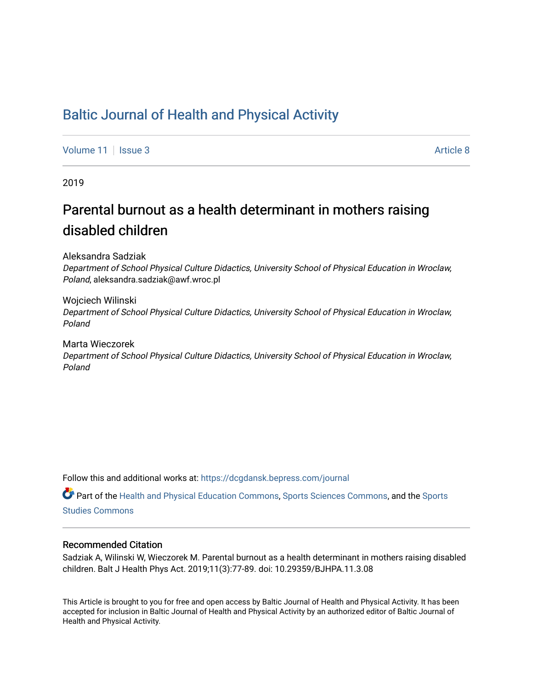# [Baltic Journal of Health and Physical Activity](https://dcgdansk.bepress.com/journal)

[Volume 11](https://dcgdansk.bepress.com/journal/vol11) | [Issue 3](https://dcgdansk.bepress.com/journal/vol11/iss3) Article 8

2019

# Parental burnout as a health determinant in mothers raising disabled children

Aleksandra Sadziak

Department of School Physical Culture Didactics, University School of Physical Education in Wroclaw, Poland, aleksandra.sadziak@awf.wroc.pl

Wojciech Wilinski Department of School Physical Culture Didactics, University School of Physical Education in Wroclaw, Poland

Marta Wieczorek Department of School Physical Culture Didactics, University School of Physical Education in Wroclaw, Poland

Follow this and additional works at: [https://dcgdansk.bepress.com/journal](https://dcgdansk.bepress.com/journal?utm_source=dcgdansk.bepress.com%2Fjournal%2Fvol11%2Fiss3%2F8&utm_medium=PDF&utm_campaign=PDFCoverPages)

Part of the [Health and Physical Education Commons](http://network.bepress.com/hgg/discipline/1327?utm_source=dcgdansk.bepress.com%2Fjournal%2Fvol11%2Fiss3%2F8&utm_medium=PDF&utm_campaign=PDFCoverPages), [Sports Sciences Commons](http://network.bepress.com/hgg/discipline/759?utm_source=dcgdansk.bepress.com%2Fjournal%2Fvol11%2Fiss3%2F8&utm_medium=PDF&utm_campaign=PDFCoverPages), and the [Sports](http://network.bepress.com/hgg/discipline/1198?utm_source=dcgdansk.bepress.com%2Fjournal%2Fvol11%2Fiss3%2F8&utm_medium=PDF&utm_campaign=PDFCoverPages)  [Studies Commons](http://network.bepress.com/hgg/discipline/1198?utm_source=dcgdansk.bepress.com%2Fjournal%2Fvol11%2Fiss3%2F8&utm_medium=PDF&utm_campaign=PDFCoverPages) 

#### Recommended Citation

Sadziak A, Wilinski W, Wieczorek M. Parental burnout as a health determinant in mothers raising disabled children. Balt J Health Phys Act. 2019;11(3):77-89. doi: 10.29359/BJHPA.11.3.08

This Article is brought to you for free and open access by Baltic Journal of Health and Physical Activity. It has been accepted for inclusion in Baltic Journal of Health and Physical Activity by an authorized editor of Baltic Journal of Health and Physical Activity.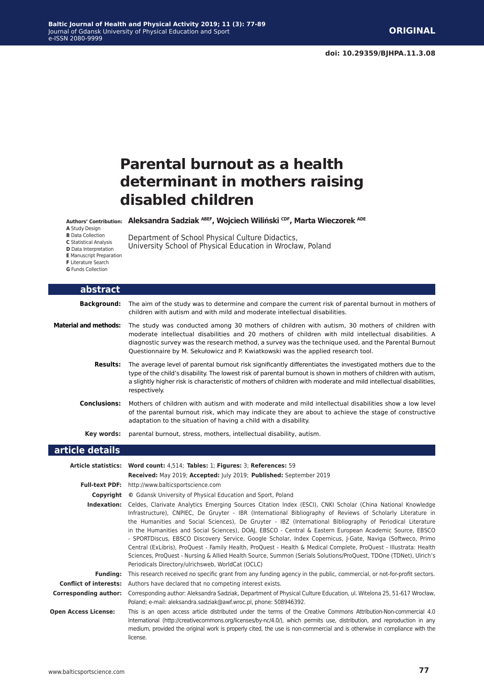# **Parental burnout as a health determinant in mothers raising disabled children**

**Aleksandra Sadziak ABEF, Wojciech Wiliński CDF, Marta Wieczorek ADE Authors' Contribution:**

University School of Physical Education in Wrocław, Poland

Department of School Physical Culture Didactics,

**A** Study Design

**B** Data Collection

**C** Statistical Analysis

**D** Data Interpretation

**E** Manuscript Preparation

**abstract**

**F** Literature Search

**G** Funds Collection

|                              | Background: The aim of the study was to determine and compare the current risk of parental burnout in mothers of<br>children with autism and with mild and moderate intellectual disabilities.                                                                                                                                                                                                                                                                                                                                                                                                                                                                                                                                                                                                                                                                |
|------------------------------|---------------------------------------------------------------------------------------------------------------------------------------------------------------------------------------------------------------------------------------------------------------------------------------------------------------------------------------------------------------------------------------------------------------------------------------------------------------------------------------------------------------------------------------------------------------------------------------------------------------------------------------------------------------------------------------------------------------------------------------------------------------------------------------------------------------------------------------------------------------|
| <b>Material and methods:</b> | The study was conducted among 30 mothers of children with autism, 30 mothers of children with<br>moderate intellectual disabilities and 20 mothers of children with mild intellectual disabilities. A<br>diagnostic survey was the research method, a survey was the technique used, and the Parental Burnout<br>Questionnaire by M. Sekułowicz and P. Kwiatkowski was the applied research tool.                                                                                                                                                                                                                                                                                                                                                                                                                                                             |
| <b>Results:</b>              | The average level of parental burnout risk significantly differentiates the investigated mothers due to the<br>type of the child's disability. The lowest risk of parental burnout is shown in mothers of children with autism,<br>a slightly higher risk is characteristic of mothers of children with moderate and mild intellectual disabilities,<br>respectively.                                                                                                                                                                                                                                                                                                                                                                                                                                                                                         |
| <b>Conclusions:</b>          | Mothers of children with autism and with moderate and mild intellectual disabilities show a low level<br>of the parental burnout risk, which may indicate they are about to achieve the stage of constructive<br>adaptation to the situation of having a child with a disability.                                                                                                                                                                                                                                                                                                                                                                                                                                                                                                                                                                             |
| Key words:                   | parental burnout, stress, mothers, intellectual disability, autism.                                                                                                                                                                                                                                                                                                                                                                                                                                                                                                                                                                                                                                                                                                                                                                                           |
| article details              |                                                                                                                                                                                                                                                                                                                                                                                                                                                                                                                                                                                                                                                                                                                                                                                                                                                               |
|                              | Article statistics: Word count: 4,514; Tables: 1; Figures: 3; References: 59                                                                                                                                                                                                                                                                                                                                                                                                                                                                                                                                                                                                                                                                                                                                                                                  |
|                              | Received: May 2019; Accepted: July 2019; Published: September 2019                                                                                                                                                                                                                                                                                                                                                                                                                                                                                                                                                                                                                                                                                                                                                                                            |
|                              | Full-text PDF: http://www.balticsportscience.com                                                                                                                                                                                                                                                                                                                                                                                                                                                                                                                                                                                                                                                                                                                                                                                                              |
| Copyright                    | © Gdansk University of Physical Education and Sport, Poland                                                                                                                                                                                                                                                                                                                                                                                                                                                                                                                                                                                                                                                                                                                                                                                                   |
| Indexation:                  | Celdes, Clarivate Analytics Emerging Sources Citation Index (ESCI), CNKI Scholar (China National Knowledge<br>Infrastructure), CNPIEC, De Gruyter - IBR (International Bibliography of Reviews of Scholarly Literature in<br>the Humanities and Social Sciences), De Gruyter - IBZ (International Bibliography of Periodical Literature<br>in the Humanities and Social Sciences), DOAJ, EBSCO - Central & Eastern European Academic Source, EBSCO<br>- SPORTDiscus, EBSCO Discovery Service, Google Scholar, Index Copernicus, J-Gate, Naviga (Softweco, Primo<br>Central (ExLibris), ProQuest - Family Health, ProQuest - Health & Medical Complete, ProQuest - Illustrata: Health<br>Sciences, ProQuest - Nursing & Allied Health Source, Summon (Serials Solutions/ProQuest, TDOne (TDNet), Ulrich's<br>Periodicals Directory/ulrichsweb, WorldCat (OCLC) |
| <b>Funding:</b>              | This research received no specific grant from any funding agency in the public, commercial, or not-for-profit sectors.                                                                                                                                                                                                                                                                                                                                                                                                                                                                                                                                                                                                                                                                                                                                        |
|                              | <b>Conflict of interests:</b> Authors have declared that no competing interest exists.                                                                                                                                                                                                                                                                                                                                                                                                                                                                                                                                                                                                                                                                                                                                                                        |
| <b>Corresponding author:</b> | Corresponding author: Aleksandra Sadziak, Department of Physical Culture Education, ul. Witelona 25, 51-617 Wrocław,<br>Poland; e-mail: aleksandra.sadziak@awf.wroc.pl, phone: 508946392.                                                                                                                                                                                                                                                                                                                                                                                                                                                                                                                                                                                                                                                                     |
| <b>Open Access License:</b>  | This is an open access article distributed under the terms of the Creative Commons Attribution-Non-commercial 4.0<br>International (http://creativecommons.org/licenses/by-nc/4.0/), which permits use, distribution, and reproduction in any                                                                                                                                                                                                                                                                                                                                                                                                                                                                                                                                                                                                                 |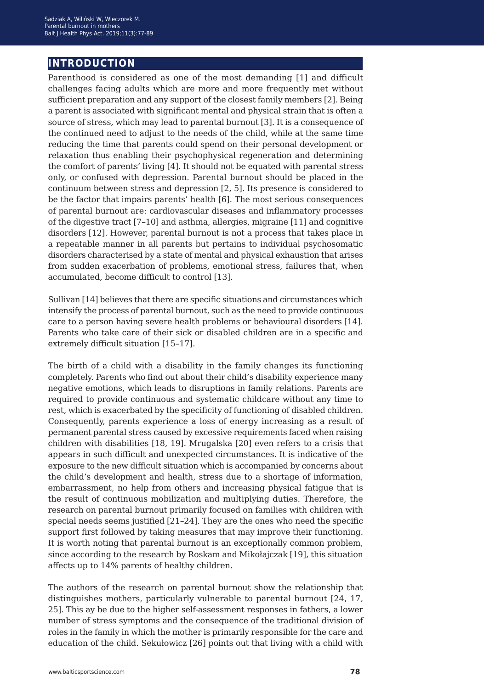## **introduction**

Parenthood is considered as one of the most demanding [1] and difficult challenges facing adults which are more and more frequently met without sufficient preparation and any support of the closest family members [2]. Being a parent is associated with significant mental and physical strain that is often a source of stress, which may lead to parental burnout [3]. It is a consequence of the continued need to adjust to the needs of the child, while at the same time reducing the time that parents could spend on their personal development or relaxation thus enabling their psychophysical regeneration and determining the comfort of parents' living [4]. It should not be equated with parental stress only, or confused with depression. Parental burnout should be placed in the continuum between stress and depression [2, 5]. Its presence is considered to be the factor that impairs parents' health [6]. The most serious consequences of parental burnout are: cardiovascular diseases and inflammatory processes of the digestive tract [7–10] and asthma, allergies, migraine [11] and cognitive disorders [12]. However, parental burnout is not a process that takes place in a repeatable manner in all parents but pertains to individual psychosomatic disorders characterised by a state of mental and physical exhaustion that arises from sudden exacerbation of problems, emotional stress, failures that, when accumulated, become difficult to control [13].

Sullivan [14] believes that there are specific situations and circumstances which intensify the process of parental burnout, such as the need to provide continuous care to a person having severe health problems or behavioural disorders [14]. Parents who take care of their sick or disabled children are in a specific and extremely difficult situation [15–17].

The birth of a child with a disability in the family changes its functioning completely. Parents who find out about their child's disability experience many negative emotions, which leads to disruptions in family relations. Parents are required to provide continuous and systematic childcare without any time to rest, which is exacerbated by the specificity of functioning of disabled children. Consequently, parents experience a loss of energy increasing as a result of permanent parental stress caused by excessive requirements faced when raising children with disabilities [18, 19]. Mrugalska [20] even refers to a crisis that appears in such difficult and unexpected circumstances. It is indicative of the exposure to the new difficult situation which is accompanied by concerns about the child's development and health, stress due to a shortage of information, embarrassment, no help from others and increasing physical fatigue that is the result of continuous mobilization and multiplying duties. Therefore, the research on parental burnout primarily focused on families with children with special needs seems justified [21–24]. They are the ones who need the specific support first followed by taking measures that may improve their functioning. It is worth noting that parental burnout is an exceptionally common problem, since according to the research by Roskam and Mikołajczak [19], this situation affects up to 14% parents of healthy children.

The authors of the research on parental burnout show the relationship that distinguishes mothers, particularly vulnerable to parental burnout [24, 17, 25]. This ay be due to the higher self-assessment responses in fathers, a lower number of stress symptoms and the consequence of the traditional division of roles in the family in which the mother is primarily responsible for the care and education of the child. Sekułowicz [26] points out that living with a child with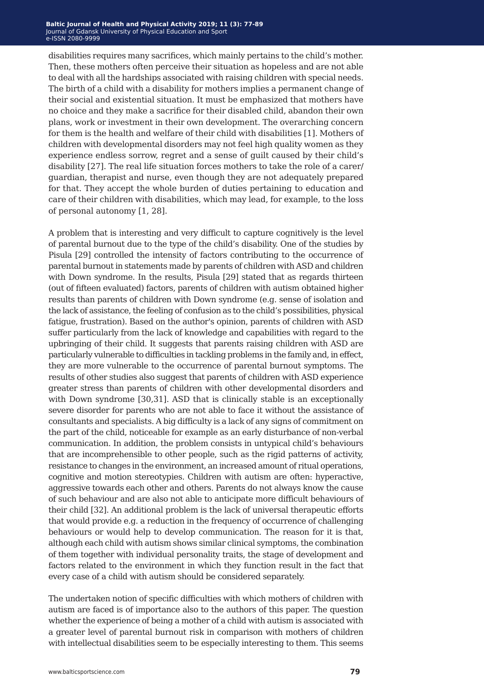disabilities requires many sacrifices, which mainly pertains to the child's mother. Then, these mothers often perceive their situation as hopeless and are not able to deal with all the hardships associated with raising children with special needs. The birth of a child with a disability for mothers implies a permanent change of their social and existential situation. It must be emphasized that mothers have no choice and they make a sacrifice for their disabled child, abandon their own plans, work or investment in their own development. The overarching concern for them is the health and welfare of their child with disabilities [1]. Mothers of children with developmental disorders may not feel high quality women as they experience endless sorrow, regret and a sense of guilt caused by their child's disability [27]. The real life situation forces mothers to take the role of a carer/ guardian, therapist and nurse, even though they are not adequately prepared for that. They accept the whole burden of duties pertaining to education and care of their children with disabilities, which may lead, for example, to the loss of personal autonomy [1, 28].

A problem that is interesting and very difficult to capture cognitively is the level of parental burnout due to the type of the child's disability. One of the studies by Pisula [29] controlled the intensity of factors contributing to the occurrence of parental burnout in statements made by parents of children with ASD and children with Down syndrome. In the results, Pisula [29] stated that as regards thirteen (out of fifteen evaluated) factors, parents of children with autism obtained higher results than parents of children with Down syndrome (e.g. sense of isolation and the lack of assistance, the feeling of confusion as to the child's possibilities, physical fatigue, frustration). Based on the author's opinion, parents of children with ASD suffer particularly from the lack of knowledge and capabilities with regard to the upbringing of their child. It suggests that parents raising children with ASD are particularly vulnerable to difficulties in tackling problems in the family and, in effect, they are more vulnerable to the occurrence of parental burnout symptoms. The results of other studies also suggest that parents of children with ASD experience greater stress than parents of children with other developmental disorders and with Down syndrome [30,31]. ASD that is clinically stable is an exceptionally severe disorder for parents who are not able to face it without the assistance of consultants and specialists. A big difficulty is a lack of any signs of commitment on the part of the child, noticeable for example as an early disturbance of non-verbal communication. In addition, the problem consists in untypical child's behaviours that are incomprehensible to other people, such as the rigid patterns of activity, resistance to changes in the environment, an increased amount of ritual operations, cognitive and motion stereotypies. Children with autism are often: hyperactive, aggressive towards each other and others. Parents do not always know the cause of such behaviour and are also not able to anticipate more difficult behaviours of their child [32]. An additional problem is the lack of universal therapeutic efforts that would provide e.g. a reduction in the frequency of occurrence of challenging behaviours or would help to develop communication. The reason for it is that, although each child with autism shows similar clinical symptoms, the combination of them together with individual personality traits, the stage of development and factors related to the environment in which they function result in the fact that every case of a child with autism should be considered separately.

The undertaken notion of specific difficulties with which mothers of children with autism are faced is of importance also to the authors of this paper. The question whether the experience of being a mother of a child with autism is associated with a greater level of parental burnout risk in comparison with mothers of children with intellectual disabilities seem to be especially interesting to them. This seems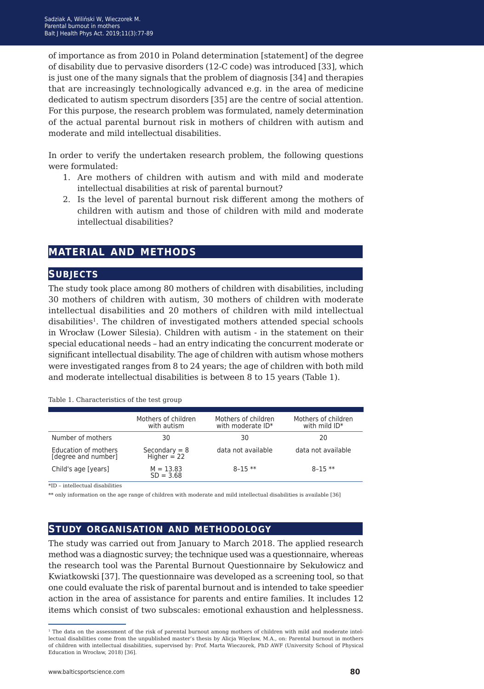of importance as from 2010 in Poland determination [statement] of the degree of disability due to pervasive disorders (12-C code) was introduced [33], which is just one of the many signals that the problem of diagnosis [34] and therapies that are increasingly technologically advanced e.g. in the area of medicine dedicated to autism spectrum disorders [35] are the centre of social attention. For this purpose, the research problem was formulated, namely determination of the actual parental burnout risk in mothers of children with autism and moderate and mild intellectual disabilities.

In order to verify the undertaken research problem, the following questions were formulated:

- 1. Are mothers of children with autism and with mild and moderate intellectual disabilities at risk of parental burnout?
- 2. Is the level of parental burnout risk different among the mothers of children with autism and those of children with mild and moderate intellectual disabilities?

### **material and methods**

#### **subjects**

The study took place among 80 mothers of children with disabilities, including 30 mothers of children with autism, 30 mothers of children with moderate intellectual disabilities and 20 mothers of children with mild intellectual disabilities<sup>1</sup>. The children of investigated mothers attended special schools in Wrocław (Lower Silesia). Children with autism - in the statement on their special educational needs – had an entry indicating the concurrent moderate or significant intellectual disability. The age of children with autism whose mothers were investigated ranges from 8 to 24 years; the age of children with both mild and moderate intellectual disabilities is between 8 to 15 years (Table 1).

|  | Table 1. Characteristics of the test group |  |  |
|--|--------------------------------------------|--|--|
|--|--------------------------------------------|--|--|

|                                             | Mothers of children<br>with autism | Mothers of children<br>with moderate ID* | Mothers of children<br>with mild $ID*$ |
|---------------------------------------------|------------------------------------|------------------------------------------|----------------------------------------|
| Number of mothers                           | 30                                 | 30                                       | 20                                     |
| Education of mothers<br>[degree and number] | Secondary = $8$<br>Higher = 22     | data not available                       | data not available                     |
| Child's age [years]                         | $M = 13.83$<br>$SD = 3.68$         | $8 - 15$ **                              | $8-15$ **                              |

\*ID – intellectual disabilities

\*\* only information on the age range of children with moderate and mild intellectual disabilities is available [36]

#### **study organisation and methodology**

The study was carried out from January to March 2018. The applied research method was a diagnostic survey; the technique used was a questionnaire, whereas the research tool was the Parental Burnout Questionnaire by Sekułowicz and Kwiatkowski [37]. The questionnaire was developed as a screening tool, so that one could evaluate the risk of parental burnout and is intended to take speedier action in the area of assistance for parents and entire families. It includes 12 items which consist of two subscales: emotional exhaustion and helplessness.

<sup>&</sup>lt;sup>1</sup> The data on the assessment of the risk of parental burnout among mothers of children with mild and moderate intellectual disabilities come from the unpublished master's thesis by Alicja Więcław, M.A., on: Parental burnout in mothers of children with intellectual disabilities, supervised by: Prof. Marta Wieczorek, PhD AWF (University School of Physical Education in Wrocław, 2018) [36].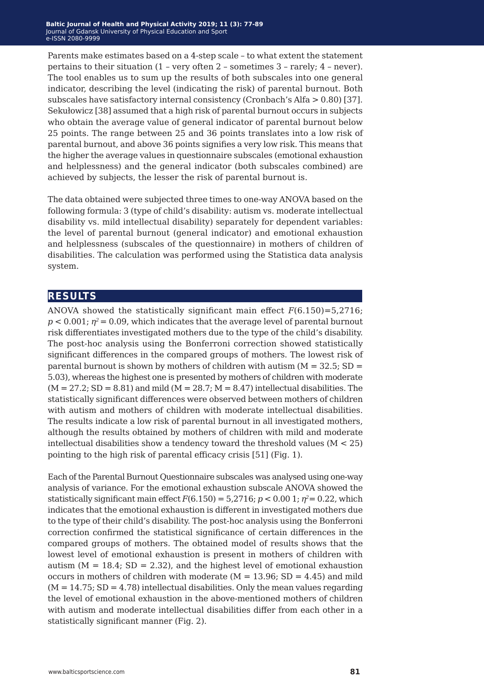Parents make estimates based on a 4-step scale – to what extent the statement pertains to their situation (1 – very often 2 – sometimes 3 – rarely; 4 – never). The tool enables us to sum up the results of both subscales into one general indicator, describing the level (indicating the risk) of parental burnout. Both subscales have satisfactory internal consistency (Cronbach's Alfa > 0.80) [37]. Sekułowicz [38] assumed that a high risk of parental burnout occurs in subjects who obtain the average value of general indicator of parental burnout below 25 points. The range between 25 and 36 points translates into a low risk of parental burnout, and above 36 points signifies a very low risk. This means that the higher the average values in questionnaire subscales (emotional exhaustion and helplessness) and the general indicator (both subscales combined) are achieved by subjects, the lesser the risk of parental burnout is.

The data obtained were subjected three times to one-way ANOVA based on the following formula: 3 (type of child's disability: autism vs. moderate intellectual disability vs. mild intellectual disability) separately for dependent variables: the level of parental burnout (general indicator) and emotional exhaustion and helplessness (subscales of the questionnaire) in mothers of children of disabilities. The calculation was performed using the Statistica data analysis system.

#### **results**

ANOVA showed the statistically significant main effect *F*(6.150)=5,2716;  $p < 0.001$ ;  $\eta^2 = 0.09$ , which indicates that the average level of parental burnout risk differentiates investigated mothers due to the type of the child's disability. The post-hoc analysis using the Bonferroni correction showed statistically significant differences in the compared groups of mothers. The lowest risk of parental burnout is shown by mothers of children with autism  $(M = 32.5; SD =$ 5.03), whereas the highest one is presented by mothers of children with moderate  $(M = 27.2; SD = 8.81)$  and mild  $(M = 28.7; M = 8.47)$  intellectual disabilities. The statistically significant differences were observed between mothers of children with autism and mothers of children with moderate intellectual disabilities. The results indicate a low risk of parental burnout in all investigated mothers, although the results obtained by mothers of children with mild and moderate intellectual disabilities show a tendency toward the threshold values (M < 25) pointing to the high risk of parental efficacy crisis [51] (Fig. 1).

Each of the Parental Burnout Questionnaire subscales was analysed using one-way analysis of variance. For the emotional exhaustion subscale ANOVA showed the statistically significant main effect  $F(6.150) = 5{,}2716$ ;  $p < 0.001$ ;  $p^2 = 0.22$ , which indicates that the emotional exhaustion is different in investigated mothers due to the type of their child's disability. The post-hoc analysis using the Bonferroni correction confirmed the statistical significance of certain differences in the compared groups of mothers. The obtained model of results shows that the lowest level of emotional exhaustion is present in mothers of children with autism ( $M = 18.4$ ; SD = 2.32), and the highest level of emotional exhaustion occurs in mothers of children with moderate ( $M = 13.96$ ; SD = 4.45) and mild  $(M = 14.75; SD = 4.78)$  intellectual disabilities. Only the mean values regarding the level of emotional exhaustion in the above-mentioned mothers of children with autism and moderate intellectual disabilities differ from each other in a statistically significant manner (Fig. 2).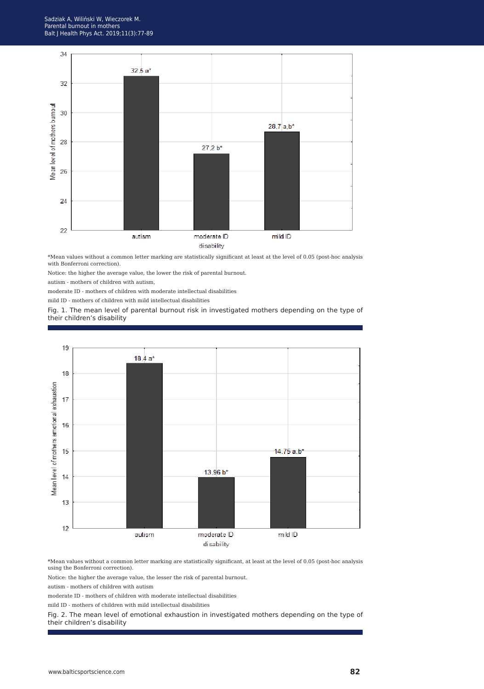

\*Mean values without a common letter marking are statistically significant at least at the level of 0.05 (post-hoc analysis with Bonferroni correction).

Notice: the higher the average value, the lower the risk of parental burnout.

autism - mothers of children with autism,

moderate ID - mothers of children with moderate intellectual disabilities

mild ID - mothers of children with mild intellectual disabilities

Fig. 1. The mean level of parental burnout risk in investigated mothers depending on the type of their children's disability



\*Mean values without a common letter marking are statistically significant, at least at the level of 0.05 (post-hoc analysis using the Bonferroni correction).

Notice: the higher the average value, the lesser the risk of parental burnout.

autism - mothers of children with autism

moderate ID - mothers of children with moderate intellectual disabilities

mild ID - mothers of children with mild intellectual disabilities

Fig. 2. The mean level of emotional exhaustion in investigated mothers depending on the type of their children's disability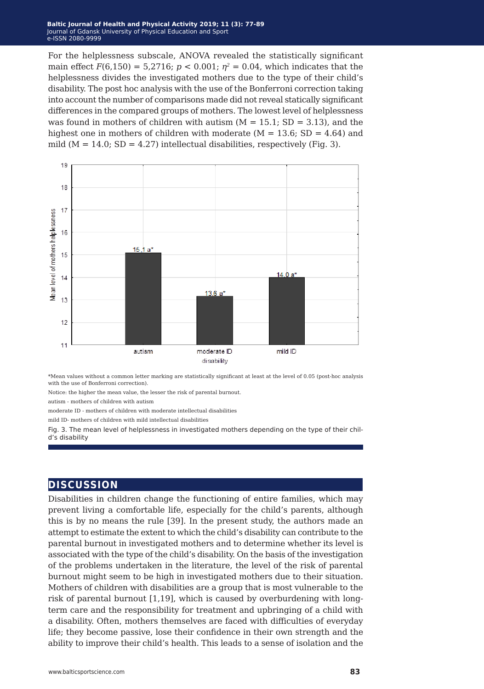For the helplessness subscale, ANOVA revealed the statistically significant main effect  $F(6,150) = 5,2716$ ;  $p < 0.001$ ;  $p^2 = 0.04$ , which indicates that the helplessness divides the investigated mothers due to the type of their child's disability. The post hoc analysis with the use of the Bonferroni correction taking into account the number of comparisons made did not reveal statically significant differences in the compared groups of mothers. The lowest level of helplessness was found in mothers of children with autism  $(M = 15.1; SD = 3.13)$ , and the highest one in mothers of children with moderate ( $M = 13.6$ ; SD = 4.64) and mild ( $M = 14.0$ ; SD = 4.27) intellectual disabilities, respectively (Fig. 3).



\*Mean values without a common letter marking are statistically significant at least at the level of 0.05 (post-hoc analysis with the use of Bonferroni correction).

Notice: the higher the mean value, the lesser the risk of parental burnout.

autism - mothers of children with autism

moderate ID - mothers of children with moderate intellectual disabilities

mild ID- mothers of children with mild intellectual disabilities

Fig. 3. The mean level of helplessness in investigated mothers depending on the type of their child's disability

#### **discussion**

Disabilities in children change the functioning of entire families, which may prevent living a comfortable life, especially for the child's parents, although this is by no means the rule [39]. In the present study, the authors made an attempt to estimate the extent to which the child's disability can contribute to the parental burnout in investigated mothers and to determine whether its level is associated with the type of the child's disability. On the basis of the investigation of the problems undertaken in the literature, the level of the risk of parental burnout might seem to be high in investigated mothers due to their situation. Mothers of children with disabilities are a group that is most vulnerable to the risk of parental burnout [1,19], which is caused by overburdening with longterm care and the responsibility for treatment and upbringing of a child with a disability. Often, mothers themselves are faced with difficulties of everyday life; they become passive, lose their confidence in their own strength and the ability to improve their child's health. This leads to a sense of isolation and the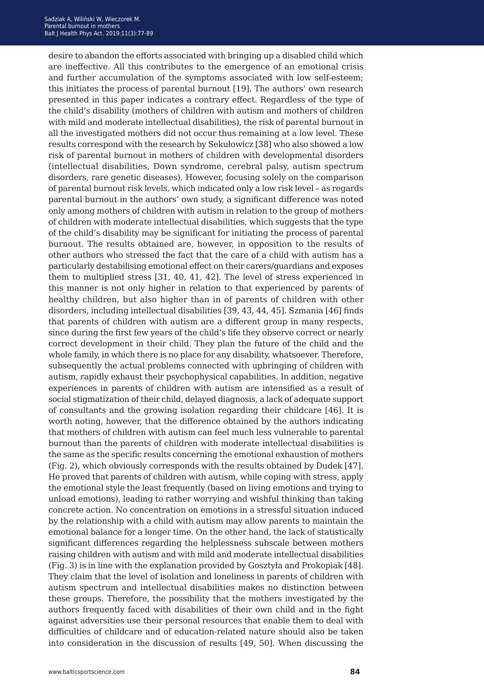desire to abandon the efforts associated with bringing up a disabled child which are ineffective. All this contributes to the emergence of an emotional crisis and further accumulation of the symptoms associated with low self-esteem; this initiates the process of parental burnout [19]. The authors' own research presented in this paper indicates a contrary effect. Regardless of the type of the child's disability (mothers of children with autism and mothers of children with mild and moderate intellectual disabilities), the risk of parental burnout in all the investigated mothers did not occur thus remaining at a low level. These results correspond with the research by Sekułowicz [38] who also showed a low risk of parental burnout in mothers of children with developmental disorders (intellectual disabilities, Down syndrome, cerebral palsy, autism spectrum disorders, rare genetic diseases). However, focusing solely on the comparison of parental burnout risk levels, which indicated only a low risk level – as regards parental burnout in the authors' own study, a significant difference was noted only among mothers of children with autism in relation to the group of mothers of children with moderate intellectual disabilities, which suggests that the type of the child's disability may be significant for initiating the process of parental burnout. The results obtained are, however, in opposition to the results of other authors who stressed the fact that the care of a child with autism has a particularly destabilising emotional effect on their carers/guardians and exposes them to multiplied stress [31, 40, 41, 42]. The level of stress experienced in this manner is not only higher in relation to that experienced by parents of healthy children, but also higher than in of parents of children with other disorders, including intellectual disabilities [39, 43, 44, 45]. Szmania [46] finds that parents of children with autism are a different group in many respects, since during the first few years of the child's life they observe correct or nearly correct development in their child. They plan the future of the child and the whole family, in which there is no place for any disability, whatsoever. Therefore, subsequently the actual problems connected with upbringing of children with autism, rapidly exhaust their psychophysical capabilities. In addition, negative experiences in parents of children with autism are intensified as a result of social stigmatization of their child, delayed diagnosis, a lack of adequate support of consultants and the growing isolation regarding their childcare [46]. It is worth noting, however, that the difference obtained by the authors indicating that mothers of children with autism can feel much less vulnerable to parental burnout than the parents of children with moderate intellectual disabilities is the same as the specific results concerning the emotional exhaustion of mothers (Fig. 2), which obviously corresponds with the results obtained by Dudek [47]. He proved that parents of children with autism, while coping with stress, apply the emotional style the least frequently (based on living emotions and trying to unload emotions), leading to rather worrying and wishful thinking than taking concrete action. No concentration on emotions in a stressful situation induced by the relationship with a child with autism may allow parents to maintain the emotional balance for a longer time. On the other hand, the lack of statistically significant differences regarding the helplessness subscale between mothers raising children with autism and with mild and moderate intellectual disabilities (Fig. 3) is in line with the explanation provided by Gosztyła and Prokopiak [48]. They claim that the level of isolation and loneliness in parents of children with autism spectrum and intellectual disabilities makes no distinction between these groups. Therefore, the possibility that the mothers investigated by the authors frequently faced with disabilities of their own child and in the fight against adversities use their personal resources that enable them to deal with difficulties of childcare and of education-related nature should also be taken into consideration in the discussion of results [49, 50]. When discussing the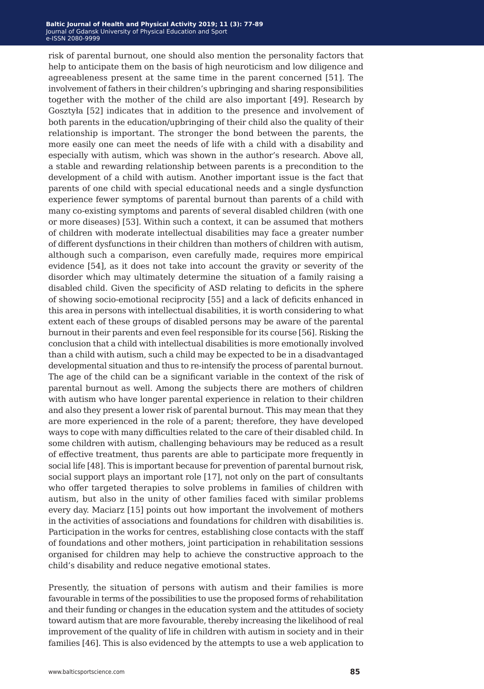risk of parental burnout, one should also mention the personality factors that help to anticipate them on the basis of high neuroticism and low diligence and agreeableness present at the same time in the parent concerned [51]. The involvement of fathers in their children's upbringing and sharing responsibilities together with the mother of the child are also important [49]. Research by Gosztyła [52] indicates that in addition to the presence and involvement of both parents in the education/upbringing of their child also the quality of their relationship is important. The stronger the bond between the parents, the more easily one can meet the needs of life with a child with a disability and especially with autism, which was shown in the author's research. Above all, a stable and rewarding relationship between parents is a precondition to the development of a child with autism. Another important issue is the fact that parents of one child with special educational needs and a single dysfunction experience fewer symptoms of parental burnout than parents of a child with many co-existing symptoms and parents of several disabled children (with one or more diseases) [53]. Within such a context, it can be assumed that mothers of children with moderate intellectual disabilities may face a greater number of different dysfunctions in their children than mothers of children with autism, although such a comparison, even carefully made, requires more empirical evidence [54], as it does not take into account the gravity or severity of the disorder which may ultimately determine the situation of a family raising a disabled child. Given the specificity of ASD relating to deficits in the sphere of showing socio-emotional reciprocity [55] and a lack of deficits enhanced in this area in persons with intellectual disabilities, it is worth considering to what extent each of these groups of disabled persons may be aware of the parental burnout in their parents and even feel responsible for its course [56]. Risking the conclusion that a child with intellectual disabilities is more emotionally involved than a child with autism, such a child may be expected to be in a disadvantaged developmental situation and thus to re-intensify the process of parental burnout. The age of the child can be a significant variable in the context of the risk of parental burnout as well. Among the subjects there are mothers of children with autism who have longer parental experience in relation to their children and also they present a lower risk of parental burnout. This may mean that they are more experienced in the role of a parent; therefore, they have developed ways to cope with many difficulties related to the care of their disabled child. In some children with autism, challenging behaviours may be reduced as a result of effective treatment, thus parents are able to participate more frequently in social life [48]. This is important because for prevention of parental burnout risk, social support plays an important role [17], not only on the part of consultants who offer targeted therapies to solve problems in families of children with autism, but also in the unity of other families faced with similar problems every day. Maciarz [15] points out how important the involvement of mothers in the activities of associations and foundations for children with disabilities is. Participation in the works for centres, establishing close contacts with the staff of foundations and other mothers, joint participation in rehabilitation sessions organised for children may help to achieve the constructive approach to the child's disability and reduce negative emotional states.

Presently, the situation of persons with autism and their families is more favourable in terms of the possibilities to use the proposed forms of rehabilitation and their funding or changes in the education system and the attitudes of society toward autism that are more favourable, thereby increasing the likelihood of real improvement of the quality of life in children with autism in society and in their families [46]. This is also evidenced by the attempts to use a web application to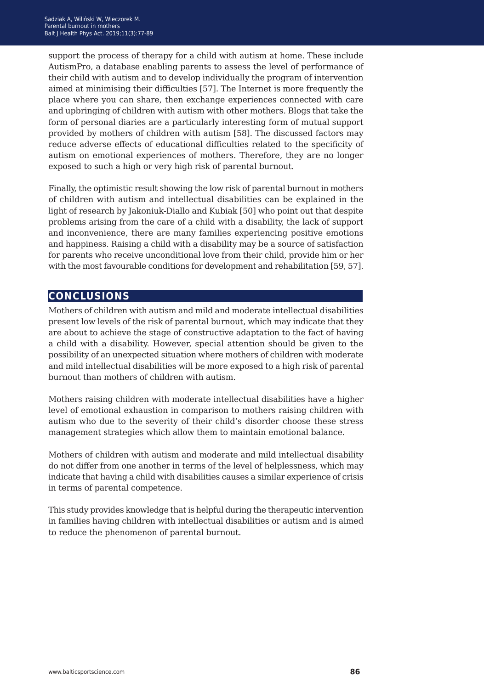support the process of therapy for a child with autism at home. These include AutismPro, a database enabling parents to assess the level of performance of their child with autism and to develop individually the program of intervention aimed at minimising their difficulties [57]. The Internet is more frequently the place where you can share, then exchange experiences connected with care and upbringing of children with autism with other mothers. Blogs that take the form of personal diaries are a particularly interesting form of mutual support provided by mothers of children with autism [58]. The discussed factors may reduce adverse effects of educational difficulties related to the specificity of autism on emotional experiences of mothers. Therefore, they are no longer exposed to such a high or very high risk of parental burnout.

Finally, the optimistic result showing the low risk of parental burnout in mothers of children with autism and intellectual disabilities can be explained in the light of research by Jakoniuk-Diallo and Kubiak [50] who point out that despite problems arising from the care of a child with a disability, the lack of support and inconvenience, there are many families experiencing positive emotions and happiness. Raising a child with a disability may be a source of satisfaction for parents who receive unconditional love from their child, provide him or her with the most favourable conditions for development and rehabilitation [59, 57].

### **conclusions**

Mothers of children with autism and mild and moderate intellectual disabilities present low levels of the risk of parental burnout, which may indicate that they are about to achieve the stage of constructive adaptation to the fact of having a child with a disability. However, special attention should be given to the possibility of an unexpected situation where mothers of children with moderate and mild intellectual disabilities will be more exposed to a high risk of parental burnout than mothers of children with autism.

Mothers raising children with moderate intellectual disabilities have a higher level of emotional exhaustion in comparison to mothers raising children with autism who due to the severity of their child's disorder choose these stress management strategies which allow them to maintain emotional balance.

Mothers of children with autism and moderate and mild intellectual disability do not differ from one another in terms of the level of helplessness, which may indicate that having a child with disabilities causes a similar experience of crisis in terms of parental competence.

This study provides knowledge that is helpful during the therapeutic intervention in families having children with intellectual disabilities or autism and is aimed to reduce the phenomenon of parental burnout.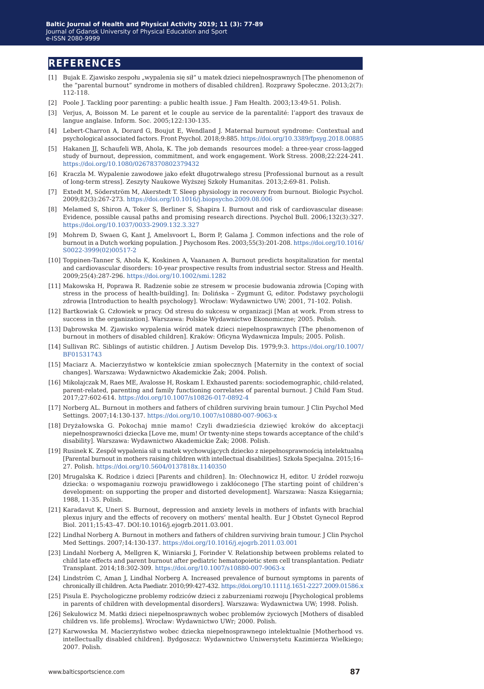#### **references**

- [1] Bujak E. Zjawisko zespołu "wypalenia się sił" u matek dzieci niepełnosprawnych [The phenomenon of the "parental burnout" syndrome in mothers of disabled children]. Rozprawy Społeczne. 2013;2(7): 112-118.
- [2] Poole J. Tackling poor parenting: a public health issue. J Fam Health. 2003;13:49-51. Polish.
- [3] Verjus, A, Boisson M. Le parent et le couple au service de la parentalité: l'apport des travaux de langue anglaise. Inform. Soc. 2005;122:130-135.
- [4] Lebert-Charron A, Dorard G, Boujut E, Wendland J. Maternal burnout syndrome: Contextual and psychological associated factors. Front Psychol. 2018;9:885.<https://doi.org/10.3389/fpsyg.2018.00885>
- [5] Hakanen JJ, Schaufeli WB, Ahola, K. The job demands resources model: a three-year cross-lagged study of burnout, depression, commitment, and work engagement. Work Stress. 2008;22:224-241. <https://doi.org/10.1080/02678370802379432>
- [6] Kraczla M. Wypalenie zawodowe jako efekt długotrwałego stresu [Professional burnout as a result of long-term stress]. Zeszyty Naukowe Wyższej Szkoły Humanitas. 2013;2:69-81. Polish.
- [7] Extedt M, Söderström M, Akerstedt T. Sleep physiology in recovery from burnout. Biologic Psychol. 2009;82(3):267-273. <https://doi.org/10.1016/j.biopsycho.2009.08.006>
- [8] Melamed S, Shiron A, Toker S, Berliner S, Shapira I. Burnout and risk of cardiovascular disease: Evidence, possible causal paths and promising research directions. Psychol Bull. 2006;132(3):327. <https://doi.org/10.1037/0033-2909.132.3.327>
- [9] Mohrem D, Swaen G, Kant J, Amelsvoort L, Borm P, Galama J. Common infections and the role of burnout in a Dutch working population. J Psychosom Res. 2003;55(3):201-208. [https://doi.org/10.1016/](https://doi.org/10.1016/S0022-3999(02)00517-2) [S0022-3999\(02\)00517-2](https://doi.org/10.1016/S0022-3999(02)00517-2)
- [10] Toppinen-Tanner S, Ahola K, Koskinen A, Vaananen A. Burnout predicts hospitalization for mental and cardiovascular disorders: 10-year prospective results from industrial sector. Stress and Health. 2009;25(4):287-296. <https://doi.org/10.1002/smi.1282>
- [11] Makowska H, Poprawa R. Radzenie sobie ze stresem w procesie budowania zdrowia [Coping with stress in the process of health-building]. In: Dolińska – Zygmunt G, editor. Podstawy psychologii zdrowia [Introduction to health psychology]. Wrocław: Wydawnictwo UW; 2001, 71-102. Polish.
- [12] Bartkowiak G. Człowiek w pracy. Od stresu do sukcesu w organizacji [Man at work. From stress to success in the organization]. Warszawa: Polskie Wydawnictwo Ekonomiczne; 2005. Polish.
- [13] Dąbrowska M. Zjawisko wypalenia wśród matek dzieci niepełnosprawnych [The phenomenon of burnout in mothers of disabled children]. Kraków: Oficyna Wydawnicza Impuls; 2005. Polish.
- [14] Sullivan RC. Siblings of autistic children. J Autism Develop Dis. 1979;9:3. [https://doi.org/10.1007/](https://doi.org/10.1007/BF01531743
) [BF01531743](https://doi.org/10.1007/BF01531743
)
- [15] Maciarz A. Macierzyństwo w kontekście zmian społecznych [Maternity in the context of social changes]. Warszawa: Wydawnictwo Akademickie Żak; 2004. Polish.
- [16] Mikolajczak M, Raes ME, Avalosse H, Roskam I. Exhausted parents: sociodemographic, child-related, parent-related, parenting and family functioning correlates of parental burnout. J Child Fam Stud. 2017;27:602-614. <https://doi.org/10.1007/s10826-017-0892-4>
- [17] Norberg AL. Burnout in mothers and fathers of children surviving brain tumour. J Clin Psychol Med Settings. 2007;14:130-137. <https://doi.org/10.1007/s10880-007-9063-x>
- [18] Dryżałowska G. Pokochaj mnie mamo! Czyli dwadzieścia dziewięć kroków do akceptacji niepełnosprawności dziecka [Love me, mum! Or twenty-nine steps towards acceptance of the child's disability]. Warszawa: Wydawnictwo Akademickie Żak; 2008. Polish.
- [19] Rusinek K. Zespół wypalenia sił u matek wychowujących dziecko z niepełnosprawnością intelektualną [Parental burnout in mothers raising children with intellectual disabilities]. Szkoła Specjalna. 2015;16– 27. Polish. <https://doi.org/10.5604/0137818x.1140350>
- [20] Mrugalska K. Rodzice i dzieci [Parents and children]. In: Olechnowicz H, editor. U źródeł rozwoju dziecka: o wspomaganiu rozwoju prawidłowego i zakłóconego [The starting point of children's development: on supporting the proper and distorted development]. Warszawa: Nasza Księgarnia; 1988, 11-35. Polish.
- [21] Karadavut K, Uneri S. Burnout, depression and anxiety levels in mothers of infants with brachial plexus injury and the effects of recovery on mothers' mental health. Eur J Obstet Gynecol Reprod Biol. 2011;15:43–47. DOI:10.1016/j.ejogrb.2011.03.001.
- [22] Lindhal Norberg A. Burnout in mothers and fathers of children surviving brain tumour. J Clin Psychol Med Settings. 2007;14:130-137. <https://doi.org/10.1016/j.ejogrb.2011.03.001>
- [23] Lindahl Norberg A, Mellgren K, Winiarski J, Forinder V. Relationship between problems related to child late effects and parent burnout after pediatric hematopoietic stem cell transplantation. Pediatr Transplant. 2014;18:302-309. <https://doi.org/10.1007/s10880-007-9063-x>
- [24] Lindström C, Aman J, Lindhal Norberg A. Increased prevalence of burnout symptoms in parents of chronically ill children. Acta Paediatr. 2010;99:427-432.<https://doi.org/10.1111/j.1651-2227.2009.01586.x>
- [25] Pisula E. Psychologiczne problemy rodziców dzieci z zaburzeniami rozwoju [Psychological problems in parents of children with developmental disorders]. Warszawa: Wydawnictwa UW; 1998. Polish.
- [26] Sekułowicz M. Matki dzieci niepełnosprawnych wobec problemów życiowych [Mothers of disabled children vs. life problems]. Wrocław: Wydawnictwo UWr; 2000. Polish.
- [27] Karwowska M. Macierzyństwo wobec dziecka niepełnosprawnego intelektualnie [Motherhood vs. intellectually disabled children]. Bydgoszcz: Wydawnictwo Uniwersytetu Kazimierza Wielkiego; 2007. Polish.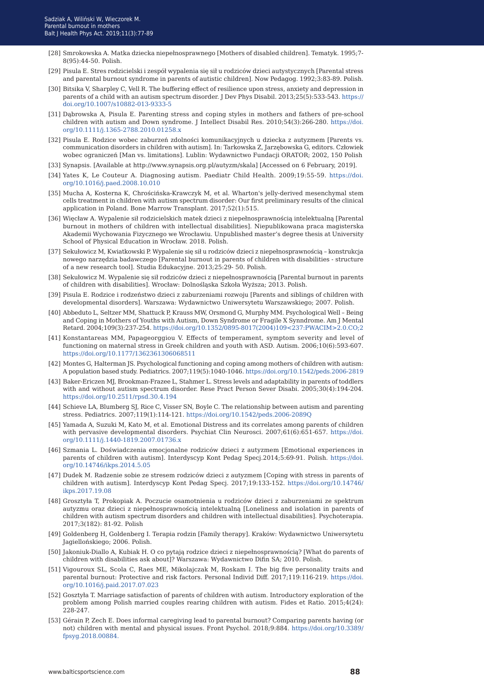- [28] Smrokowska A. Matka dziecka niepełnosprawnego [Mothers of disabled children]. Tematyk. 1995;7- 8(95):44-50. Polish.
- [29] Pisula E. Stres rodzicielski i zespół wypalenia się sił u rodziców dzieci autystycznych [Parental stress and parental burnout syndrome in parents of autistic children]. Now Pedagog. 1992;3:83-89. Polish.
- [30] Bitsika V, Sharpley C, Vell R. The buffering effect of resilience upon stress, anxiety and depression in parents of a child with an autism spectrum disorder. J Dev Phys Disabil. 2013;25(5):533-543. [https://](https://doi.org/10.1007/s10882-013-9333-5) [doi.org/10.1007/s10882-013-9333-5](https://doi.org/10.1007/s10882-013-9333-5)
- [31] Dąbrowska A, Pisula E. Parenting stress and coping styles in mothers and fathers of pre-school children with autism and Down syndrome. J Intellect Disabil Res. 2010;54(3):266-280. [https://doi.](https://doi.org/10.1111/j.1365-2788.2010.01258.x) [org/10.1111/j.1365-2788.2010.01258.x](https://doi.org/10.1111/j.1365-2788.2010.01258.x)
- [32] Pisula E. Rodzice wobec zaburzeń zdolności komunikacyjnych u dziecka z autyzmem [Parents vs. communication disorders in children with autism]. In: Tarkowska Z, Jarzębowska G, editors. Człowiek wobec ograniczeń [Man vs. limitations]. Lublin: Wydawnictwo Fundacji ORATOR; 2002, 150 Polish
- [33] Synapsis. [Available at http://www.synapsis.org.pl/autyzm/skala] [Accessed on 6 February, 2019].
- [34] Yates K, Le Couteur A. Diagnosing autism. Paediatr Child Health. 2009;19:55-59. [https://doi.](https://doi.org/10.1016/j.paed.2008.10.010) [org/10.1016/j.paed.2008.10.010](https://doi.org/10.1016/j.paed.2008.10.010)
- [35] Mucha A, Kosterna K, Chrościńska-Krawczyk M, et al. Wharton's jelly-derived mesenchymal stem cells treatment in children with autism spectrum disorder: Our first preliminary results of the clinical application in Poland. Bone Marrow Transplant. 2017;52(1):515.
- [36] Więcław A. Wypalenie sił rodzicielskich matek dzieci z niepełnosprawnością intelektualną [Parental burnout in mothers of children with intellectual disabilities]. Niepublikowana praca magisterska Akademii Wychowania Fizycznego we Wrocławiu. Unpublished master's degree thesis at University School of Physical Education in Wrocław. 2018. Polish.
- [37] Sekułowicz M, Kwiatkowski P. Wypalenie się sił u rodziców dzieci z niepełnosprawnością konstrukcja nowego narzędzia badawczego [Parental burnout in parents of children with disabilities - structure of a new research tool]. Studia Edukacyjne. 2013;25:29- 50. Polish.
- [38] Sekułowicz M. Wypalenie się sił rodziców dzieci z niepełnosprawnością [Parental burnout in parents of children with disabilities]. Wrocław: Dolnośląska Szkoła Wyższa; 2013. Polish.
- [39] Pisula E. Rodzice i rodzeństwo dzieci z zaburzeniami rozwoju [Parents and siblings of children with developmental disorders]. Warszawa: Wydawnictwo Uniwersytetu Warszawskiego; 2007. Polish.
- [40] Abbeduto L, Seltzer MM, Shattuck P, Krauss MW, Orsmond G, Murphy MM. Psychological Well Being and Coping in Mothers of Youths with Autism, Down Syndrome or Fragile X Synndrome. Am J Mental Retard. 2004;109(3):237-254. [https://doi.org/10.1352/0895-8017\(2004\)109<237:PWACIM>2.0.CO;2](https://doi.org/10.1352/0895-8017(2004)109<237:PWACIM>2.0.CO;2)
- [41] Konstantareas MM, Papageorggiou V. Effects of temperament, symptom severity and level of functioning on maternal stress in Greek children and youth with ASD. Autism. 2006;10(6):593-607. <https://doi.org/10.1177/1362361306068511>
- [42] Montes G, Halterman JS. Psychological functioning and coping among mothers of children with autism: A population based study. Pediatrics. 2007;119(5):1040-1046.<https://doi.org/10.1542/peds.2006-2819>
- [43] Baker-Ericzen MJ, Brookman-Frazee L, Stahmer L. Stress levels and adaptability in parents of toddlers with and without autism spectrum disorder. Rese Pract Person Sever Disabi. 2005;30(4):194-204. <https://doi.org/10.2511/rpsd.30.4.194>
- [44] Schieve LA, Blumberg SJ, Rice C, Visser SN, Boyle C. The relationship between autism and parenting stress. Pediatrics. 2007;119(1):114-121.<https://doi.org/10.1542/peds.2006-2089Q>
- [45] Yamada A, Suzuki M, Kato M, et al. Emotional Distress and its correlates among parents of children with pervasive developmental disorders. Psychiat Clin Neurosci. 2007;61(6):651-657. [https://doi.](https://doi.org/10.1111/j.1440-1819.2007.01736.x) [org/10.1111/j.1440-1819.2007.01736.x](https://doi.org/10.1111/j.1440-1819.2007.01736.x)
- [46] Szmania L. Doświadczenia emocjonalne rodziców dzieci z autyzmem [Emotional experiences in parents of children with autism]. Interdyscyp Kont Pedag Specj.2014;5:69-91. Polish. [https://doi.](https://doi.org/10.14746/ikps.2014.5.05) [org/10.14746/ikps.2014.5.05](https://doi.org/10.14746/ikps.2014.5.05)
- [47] Dudek M. Radzenie sobie ze stresem rodziców dzieci z autyzmem [Coping with stress in parents of children with autism]. Interdyscyp Kont Pedag Specj. 2017;19:133-152. [https://doi.org/10.14746/](https://doi.org/10.14746/ikps.2017.19.08) [ikps.2017.19.08](https://doi.org/10.14746/ikps.2017.19.08)
- [48] Grosztyła T, Prokopiak A. Poczucie osamotnienia u rodziców dzieci z zaburzeniami ze spektrum autyzmu oraz dzieci z niepełnosprawnością intelektualną [Loneliness and isolation in parents of children with autism spectrum disorders and children with intellectual disabilities]. Psychoterapia. 2017;3(182): 81-92. Polish
- [49] Goldenberg H, Goldenberg I. Terapia rodzin [Family therapy]. Kraków: Wydawnictwo Uniwersytetu Jagiellońskiego; 2006. Polish.
- [50] Jakoniuk-Diallo A, Kubiak H. O co pytają rodzice dzieci z niepełnosprawnością? [What do parents of children with disabilities ask about]? Warszawa: Wydawnictwo Difin SA; 2010. Polish.
- [51] Vigouroux SL, Scola C, Raes ME, Mikolajczak M, Roskam I. The big five personality traits and parental burnout: Protective and risk factors. Personal Individ Diff. 2017;119:116-219. [https://doi.](https://doi.org/10.1016/j.paid.2017.07.023) [org/10.1016/j.paid.2017.07.023](https://doi.org/10.1016/j.paid.2017.07.023)
- [52] Gosztyła T. Marriage satisfaction of parents of children with autism. Introductory exploration of the problem among Polish married couples rearing children with autism. Fides et Ratio. 2015;4(24): 228-247.
- [53] Gérain P, Zech E. Does informal caregiving lead to parental burnout? Comparing parents having (or not) children with mental and physical issues. Front Psychol. 2018;9:884. [https://doi.org/10.3389/](https://doi.org/10.3389/fpsyg.2018.00884) [fpsyg.2018.00884.](https://doi.org/10.3389/fpsyg.2018.00884)